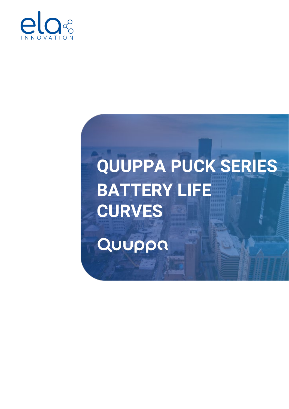

# **QUUPPA PUCK SERIES BATTERY LIFE CURVES**Quuppa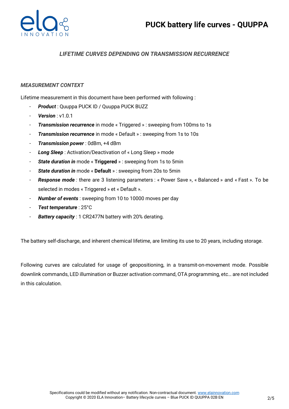

### *LIFETIME CURVES DEPENDING ON TRANSMISSION RECURRENCE*

#### *MEASUREMENT CONTEXT*

Lifetime measurement in this document have been performed with following :

- *Product* : Quuppa PUCK ID / Quuppa PUCK BUZZ
- *Version* : v1.0.1
- **Transmission recurrence** in mode « Triggered » : sweeping from 100ms to 1s
- *Transmission recurrence* in mode « Default » : sweeping from 1s to 10s
- *Transmission power* : 0dBm, +4 dBm
- Long Sleep : Activation/Deactivation of « Long Sleep » mode
- *State duration in* mode « **Triggered** » : sweeping from 1s to 5min
- *State duration in* mode « **Default** » : sweeping from 20s to 5min
- *Response mode :* there are 3 listening parameters : « Power Save », « Balanced » and « Fast ». To be selected in modes « Triggered » et « Default ».
- *Number of events* : sweeping from 10 to 10000 moves per day
- *Test temperature* : 25°C
- **Battery capacity**: 1 CR2477N battery with 20% derating.

The battery self-discharge, and inherent chemical lifetime, are limiting its use to 20 years, including storage.

Following curves are calculated for usage of geopositioning, in a transmit-on-movement mode. Possible downlink commands, LED illumination or Buzzer activation command, OTA programming, etc… are not included in this calculation.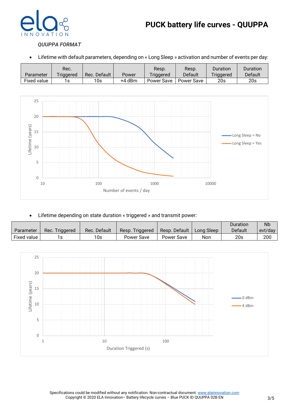



#### *QUUPPA FORMAT*

• Lifetime with default parameters, depending on « Long Sleep » activation and number of events per day:

| Parameter   | Rec.<br>Triggered | Rec. Default | Power  | Resp.<br>Triggered | Resp.<br>Default | Duration<br>Triggered | Duration<br>Default |
|-------------|-------------------|--------------|--------|--------------------|------------------|-----------------------|---------------------|
| Fixed value | s                 | 10s          | +4 dBm | Power Save         | Power Save       | 20s                   | 20s                 |



• Lifetime depending on state duration « triggered » and transmit power:

|             |                |              |                 |               |            | Duration | Nb      |
|-------------|----------------|--------------|-----------------|---------------|------------|----------|---------|
| Parameter   | Rec. Triggered | Rec. Default | Resp. Triggered | Resp. Default | Lona Sleep | Default  | evt/day |
| Fixed value |                | 10s          | Power Save      | Power Save    | Non        | 20s      | 200     |

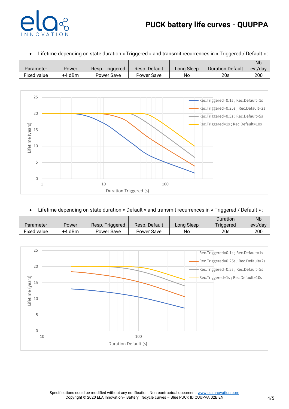## **PUCK battery life curves - QUUPPA**



• Lifetime depending on state duration « Triggered » and transmit recurrences in « Triggered / Default » :

|             |        |                    |               |            |                  | Nb      |
|-------------|--------|--------------------|---------------|------------|------------------|---------|
| Parameter   | Power  | Triggered<br>Resp. | Resp. Default | Long Sleep | Duration Default | evt/day |
| Fixed value | +4 dBm | Power Save         | Power Save    | No         | 20s              | 200     |



• Lifetime depending on state duration « Default » and transmit recurrences in « Triggered / Default » :

|             |        |                   |                  |            | Duration          | Nb      |
|-------------|--------|-------------------|------------------|------------|-------------------|---------|
| Parameter   | Power  | Resp.<br>riggered | Default<br>Resp. | Long Sleep | <b>I</b> riggered | evt/day |
| Fixed value | +4 dBm | Power Save        | Power Save       | No         | 20s               | 200     |